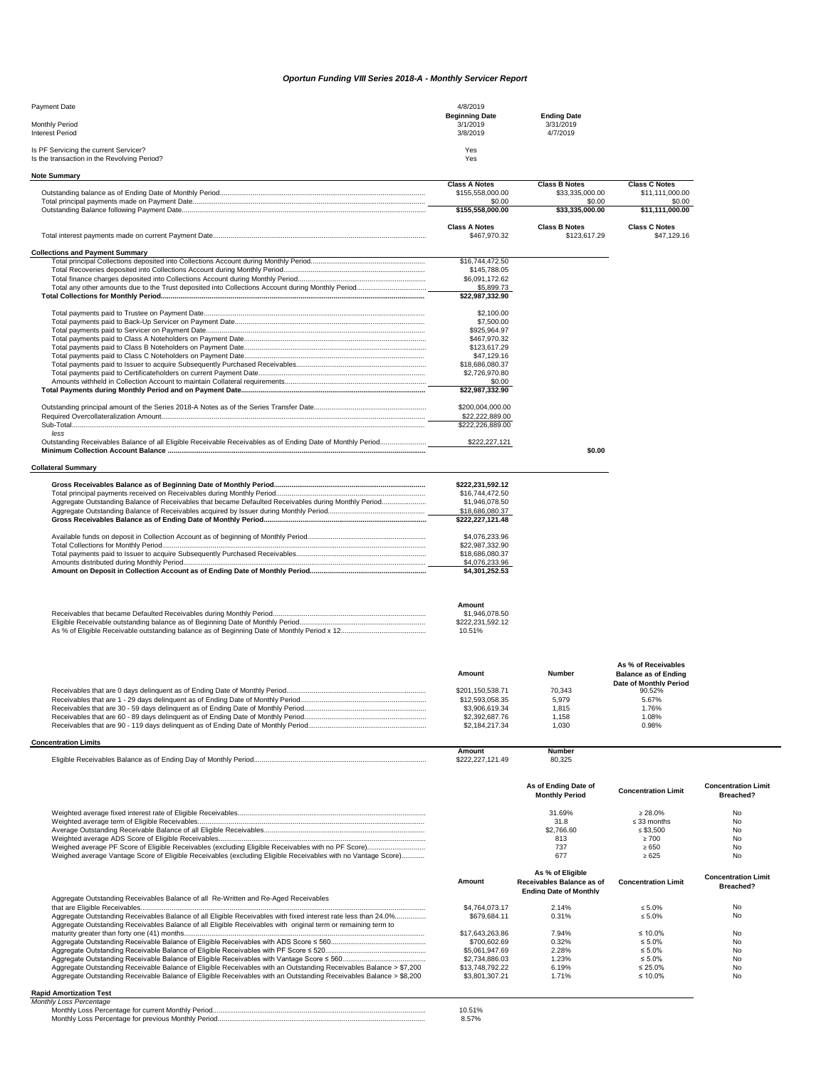## *Oportun Funding VIII Series 2018-A - Monthly Servicer Report*

| Payment Date                                | 4/8/2019              |                    |
|---------------------------------------------|-----------------------|--------------------|
|                                             | <b>Beginning Date</b> | <b>Ending Date</b> |
| Monthly Period                              | 3/1/2019              | 3/31/2019          |
| <b>Interest Period</b>                      | 3/8/2019              | 4/7/2019           |
| Is PF Servicing the current Servicer?       | Yes                   |                    |
| Is the transaction in the Revolving Period? | Yes                   |                    |

| <b>Note Summary</b>                                                                                          |                                   |                               |                             |                            |
|--------------------------------------------------------------------------------------------------------------|-----------------------------------|-------------------------------|-----------------------------|----------------------------|
|                                                                                                              | <b>Class A Notes</b>              | <b>Class B Notes</b>          | <b>Class C Notes</b>        |                            |
|                                                                                                              | \$155,558,000.00                  | \$33,335,000.00               | \$11,111,000.00             |                            |
|                                                                                                              | \$0.00<br>\$155,558,000.00        | \$0.00<br>\$33,335,000.00     | \$0.00<br>\$11,111,000.00   |                            |
|                                                                                                              |                                   |                               |                             |                            |
|                                                                                                              | <b>Class A Notes</b>              | <b>Class B Notes</b>          | <b>Class C Notes</b>        |                            |
|                                                                                                              | \$467,970.32                      | \$123,617.29                  | \$47,129.16                 |                            |
|                                                                                                              |                                   |                               |                             |                            |
| <b>Collections and Payment Summary</b>                                                                       |                                   |                               |                             |                            |
|                                                                                                              | \$16,744,472.50<br>\$145,788.05   |                               |                             |                            |
|                                                                                                              | \$6,091,172.62                    |                               |                             |                            |
|                                                                                                              | \$5,899.73                        |                               |                             |                            |
|                                                                                                              | \$22,987,332.90                   |                               |                             |                            |
|                                                                                                              |                                   |                               |                             |                            |
|                                                                                                              | \$2,100.00                        |                               |                             |                            |
|                                                                                                              | \$7,500.00                        |                               |                             |                            |
|                                                                                                              | \$925,964.97                      |                               |                             |                            |
|                                                                                                              | \$467,970.32                      |                               |                             |                            |
|                                                                                                              | \$123,617.29                      |                               |                             |                            |
|                                                                                                              | \$47,129.16                       |                               |                             |                            |
|                                                                                                              | \$18,686,080.37                   |                               |                             |                            |
|                                                                                                              | \$2,726,970.80                    |                               |                             |                            |
|                                                                                                              | \$0.00                            |                               |                             |                            |
|                                                                                                              | \$22,987,332.90                   |                               |                             |                            |
|                                                                                                              |                                   |                               |                             |                            |
|                                                                                                              | \$200,004,000.00                  |                               |                             |                            |
|                                                                                                              | \$22,222,889.00                   |                               |                             |                            |
|                                                                                                              | \$222,226,889.00                  |                               |                             |                            |
| less                                                                                                         |                                   |                               |                             |                            |
|                                                                                                              | \$222,227,121                     |                               |                             |                            |
|                                                                                                              |                                   | \$0.00                        |                             |                            |
|                                                                                                              |                                   |                               |                             |                            |
| <b>Collateral Summary</b>                                                                                    |                                   |                               |                             |                            |
|                                                                                                              |                                   |                               |                             |                            |
|                                                                                                              | \$222,231,592.12                  |                               |                             |                            |
|                                                                                                              | \$16,744,472.50                   |                               |                             |                            |
| Aggregate Outstanding Balance of Receivables that became Defaulted Receivables during Monthly Period         | \$1,946,078.50                    |                               |                             |                            |
|                                                                                                              | \$18,686,080.37                   |                               |                             |                            |
|                                                                                                              | \$222,227,121.48                  |                               |                             |                            |
|                                                                                                              |                                   |                               |                             |                            |
|                                                                                                              | \$4,076,233.96                    |                               |                             |                            |
|                                                                                                              | \$22,987,332.90                   |                               |                             |                            |
|                                                                                                              | \$18,686,080.37                   |                               |                             |                            |
|                                                                                                              | \$4,076,233.96                    |                               |                             |                            |
|                                                                                                              | \$4,301,252.53                    |                               |                             |                            |
|                                                                                                              |                                   |                               |                             |                            |
|                                                                                                              |                                   |                               |                             |                            |
|                                                                                                              |                                   |                               |                             |                            |
|                                                                                                              | Amount                            |                               |                             |                            |
|                                                                                                              | \$1,946,078.50                    |                               |                             |                            |
|                                                                                                              | \$222,231,592.12                  |                               |                             |                            |
|                                                                                                              | 10.51%                            |                               |                             |                            |
|                                                                                                              |                                   |                               |                             |                            |
|                                                                                                              |                                   |                               |                             |                            |
|                                                                                                              |                                   |                               | As % of Receivables         |                            |
|                                                                                                              | Amount                            | Number                        |                             |                            |
|                                                                                                              |                                   |                               | <b>Balance as of Ending</b> |                            |
|                                                                                                              |                                   |                               | Date of Monthly Period      |                            |
|                                                                                                              | \$201,150,538.71                  | 70,343<br>5,979               | 90.52%                      |                            |
|                                                                                                              | \$12,593,058.35<br>\$3,906,619.34 | 1,815                         | 5.67%<br>1.76%              |                            |
|                                                                                                              |                                   |                               |                             |                            |
|                                                                                                              | \$2,392,687.76                    | 1,158                         | 1.08%                       |                            |
|                                                                                                              | \$2,184,217.34                    | 1,030                         | 0.98%                       |                            |
| <b>Concentration Limits</b>                                                                                  |                                   |                               |                             |                            |
|                                                                                                              | Amount                            | Number                        |                             |                            |
|                                                                                                              | \$222,227,121.49                  | 80,325                        |                             |                            |
|                                                                                                              |                                   |                               |                             |                            |
|                                                                                                              |                                   |                               |                             |                            |
|                                                                                                              |                                   | As of Ending Date of          | <b>Concentration Limit</b>  | <b>Concentration Limit</b> |
|                                                                                                              |                                   | <b>Monthly Period</b>         |                             | Breached?                  |
|                                                                                                              |                                   |                               |                             |                            |
|                                                                                                              |                                   | 31.69%                        | $\geq 28.0\%$               | No                         |
|                                                                                                              |                                   | 31.8                          | $\leq$ 33 months            | <b>No</b>                  |
|                                                                                                              |                                   | \$2,766.60                    | $\leq$ \$3,500              | No                         |
|                                                                                                              |                                   | 813                           | $\geq 700$                  | No                         |
|                                                                                                              |                                   | 737                           | $\geq 650$                  | No                         |
| Weighed average Vantage Score of Eligible Receivables (excluding Eligible Receivables with no Vantage Score) |                                   | 677                           | ≥ 625                       | <b>No</b>                  |
|                                                                                                              |                                   |                               |                             |                            |
|                                                                                                              |                                   | As % of Eligible              |                             | <b>Concentration Limit</b> |
|                                                                                                              | Amount                            | Receivables Balance as of     | <b>Concentration Limit</b>  | Breached?                  |
|                                                                                                              |                                   | <b>Ending Date of Monthly</b> |                             |                            |
|                                                                                                              |                                   |                               |                             |                            |

|                                                                                                                                                                                                                                 | <b>Ending Date of Monthly</b> |       |               |    |
|---------------------------------------------------------------------------------------------------------------------------------------------------------------------------------------------------------------------------------|-------------------------------|-------|---------------|----|
| Aggregate Outstanding Receivables Balance of all Re-Written and Re-Aged Receivables                                                                                                                                             | \$4,764,073,17                | 2.14% | $< 5.0\%$     | No |
| Aggregate Outstanding Receivables Balance of all Eligible Receivables with fixed interest rate less than 24.0%<br>Aggregate Outstanding Receivables Balance of all Eligible Receivables with original term or remaining term to | \$679.684.11                  | 0.31% | $< 5.0\%$     | No |
|                                                                                                                                                                                                                                 | \$17,643,263,86               | 7.94% | $\leq 10.0\%$ | No |
|                                                                                                                                                                                                                                 | \$700,602.69                  | 0.32% | $\leq 5.0\%$  | No |
|                                                                                                                                                                                                                                 | \$5,061,947.69                | 2.28% | $\leq 5.0\%$  | No |
|                                                                                                                                                                                                                                 | \$2,734,886,03                | 1.23% | $\leq 5.0\%$  | No |
| Aggregate Outstanding Receivable Balance of Eligible Receivables with an Outstanding Receivables Balance > \$7,200                                                                                                              | \$13,748,792,22               | 6.19% | $\leq$ 25.0%  | No |
| Aggregate Outstanding Receivable Balance of Eligible Receivables with an Outstanding Receivables Balance > \$8,200                                                                                                              | \$3,801,307.21                | 1.71% | $\leq 10.0\%$ | No |

## **Rapid Amortization Test** *Monthly Loss Percentage*

| πιτηγ Luss ι σισσιπασσ                               |  |
|------------------------------------------------------|--|
| Monthly Loss Percentage for current Monthly Period   |  |
| Monthly Loss Percentage for previous Monthly Period. |  |
|                                                      |  |